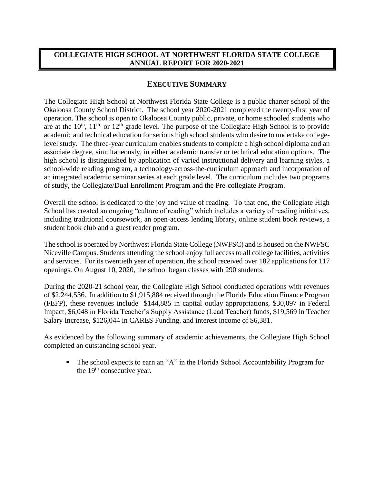## **COLLEGIATE HIGH SCHOOL AT NORTHWEST FLORIDA STATE COLLEGE ANNUAL REPORT FOR 2020-2021**

## **EXECUTIVE SUMMARY**

The Collegiate High School at Northwest Florida State College is a public charter school of the Okaloosa County School District. The school year 2020-2021 completed the twenty-first year of operation. The school is open to Okaloosa County public, private, or home schooled students who are at the  $10^{th}$ ,  $11^{th}$ , or  $12^{th}$  grade level. The purpose of the Collegiate High School is to provide academic and technical education for serious high school students who desire to undertake collegelevel study. The three-year curriculum enables students to complete a high school diploma and an associate degree, simultaneously, in either academic transfer or technical education options. The high school is distinguished by application of varied instructional delivery and learning styles, a school-wide reading program, a technology-across-the-curriculum approach and incorporation of an integrated academic seminar series at each grade level. The curriculum includes two programs of study, the Collegiate/Dual Enrollment Program and the Pre-collegiate Program.

Overall the school is dedicated to the joy and value of reading. To that end, the Collegiate High School has created an ongoing "culture of reading" which includes a variety of reading initiatives, including traditional coursework, an open-access lending library, online student book reviews, a student book club and a guest reader program.

The school is operated by Northwest Florida State College (NWFSC) and is housed on the NWFSC Niceville Campus. Students attending the school enjoy full access to all college facilities, activities and services. For its twentieth year of operation, the school received over 182 applications for 117 openings. On August 10, 2020, the school began classes with 290 students.

During the 2020-21 school year, the Collegiate High School conducted operations with revenues of \$2,244,536. In addition to \$1,915,884 received through the Florida Education Finance Program (FEFP), these revenues include \$144,885 in capital outlay appropriations, \$30,097 in Federal Impact, \$6,048 in Florida Teacher's Supply Assistance (Lead Teacher) funds, \$19,569 in Teacher Salary Increase, \$126,044 in CARES Funding, and interest income of \$6,381.

As evidenced by the following summary of academic achievements, the Collegiate High School completed an outstanding school year.

 The school expects to earn an "A" in the Florida School Accountability Program for the  $19<sup>th</sup>$  consecutive year.